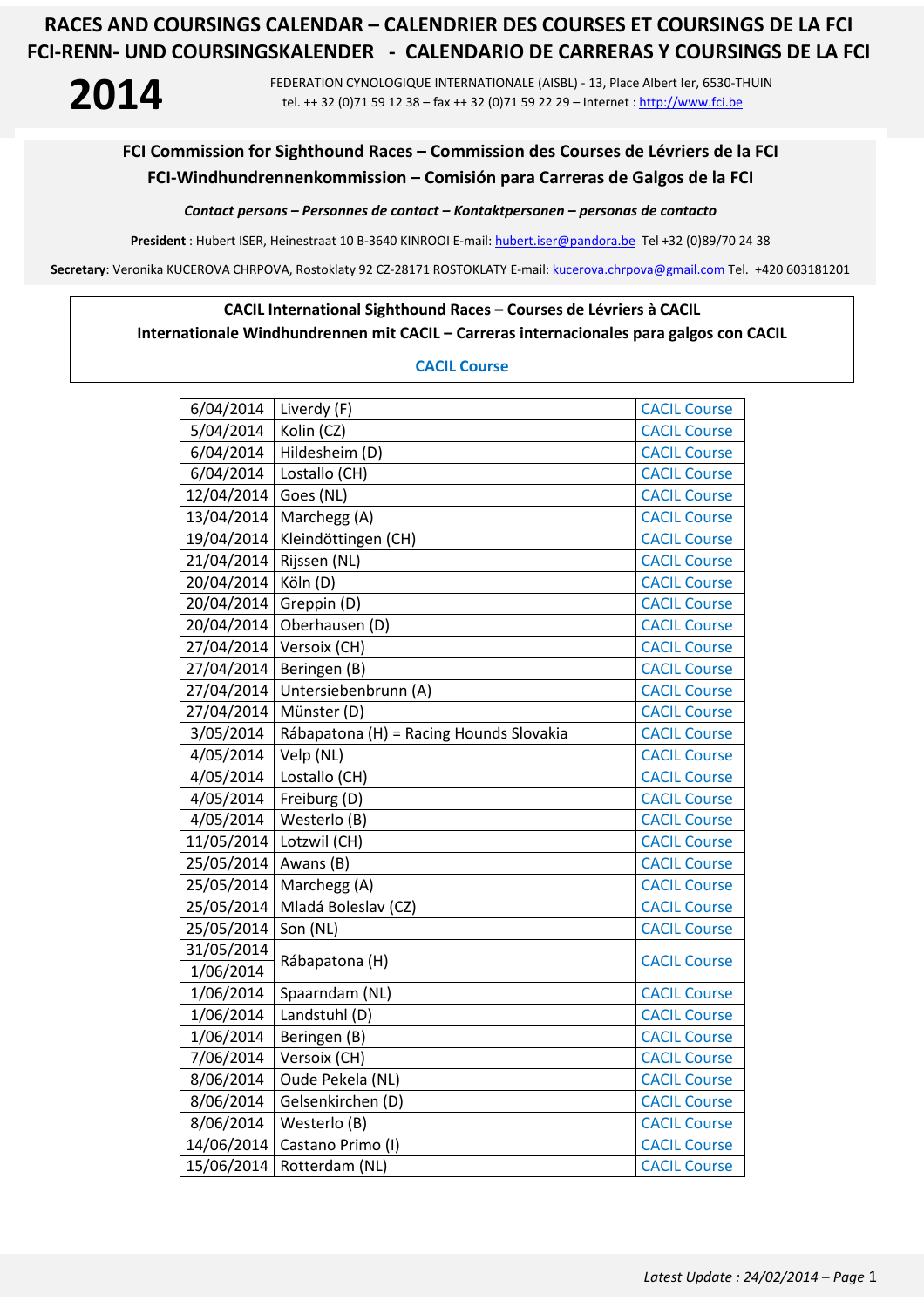**2014** FEDERATION CYNOLOGIQUE INTERNATIONALE (AISBL) - 13, Place Albert Ier, 6530-THUIN tel. ++ 32 (0)71 59 12 38 – fax ++ 32 (0)71 59 22 29 – Internet : http://www.fci.be

### **FCI Commission for Sighthound Races – Commission des Courses de Lévriers de la FCI FCI-Windhundrennenkommission – Comisión para Carreras de Galgos de la FCI**

*Contact persons – Personnes de contact – Kontaktpersonen – personas de contacto* 

**President** : Hubert ISER, Heinestraat 10 B-3640 KINROOI E-mail: hubert.iser@pandora.be Tel +32 (0)89/70 24 38

**Secretary**: Veronika KUCEROVA CHRPOVA, Rostoklaty 92 CZ-28171 ROSTOKLATY E-mail: kucerova.chrpova@gmail.com Tel. +420 603181201

#### **CACIL International Sighthound Races – Courses de Lévriers à CACIL**

#### **Internationale Windhundrennen mit CACIL – Carreras internacionales para galgos con CACIL**

#### **CACIL Course**

| 6/04/2014  | Liverdy (F)                             | <b>CACIL Course</b> |
|------------|-----------------------------------------|---------------------|
| 5/04/2014  | Kolin (CZ)                              | <b>CACIL Course</b> |
| 6/04/2014  | Hildesheim (D)                          | <b>CACIL Course</b> |
| 6/04/2014  | Lostallo (CH)                           | <b>CACIL Course</b> |
| 12/04/2014 | Goes (NL)                               | <b>CACIL Course</b> |
| 13/04/2014 | Marchegg (A)                            | <b>CACIL Course</b> |
| 19/04/2014 | Kleindöttingen (CH)                     | <b>CACIL Course</b> |
| 21/04/2014 | Rijssen (NL)                            | <b>CACIL Course</b> |
| 20/04/2014 | Köln (D)                                | <b>CACIL Course</b> |
| 20/04/2014 | Greppin (D)                             | <b>CACIL Course</b> |
| 20/04/2014 | Oberhausen (D)                          | <b>CACIL Course</b> |
| 27/04/2014 | Versoix (CH)                            | <b>CACIL Course</b> |
| 27/04/2014 | Beringen (B)                            | <b>CACIL Course</b> |
| 27/04/2014 | Untersiebenbrunn (A)                    | <b>CACIL Course</b> |
| 27/04/2014 | Münster (D)                             | <b>CACIL Course</b> |
| 3/05/2014  | Rábapatona (H) = Racing Hounds Slovakia | <b>CACIL Course</b> |
| 4/05/2014  | Velp (NL)                               | <b>CACIL Course</b> |
| 4/05/2014  | Lostallo (CH)                           | <b>CACIL Course</b> |
| 4/05/2014  | Freiburg (D)                            | <b>CACIL Course</b> |
| 4/05/2014  | Westerlo (B)                            | <b>CACIL Course</b> |
| 11/05/2014 | Lotzwil (CH)                            | <b>CACIL Course</b> |
| 25/05/2014 | Awans (B)                               | <b>CACIL Course</b> |
| 25/05/2014 | Marchegg (A)                            | <b>CACIL Course</b> |
| 25/05/2014 | Mladá Boleslav (CZ)                     | <b>CACIL Course</b> |
| 25/05/2014 | Son (NL)                                | <b>CACIL Course</b> |
| 31/05/2014 |                                         | <b>CACIL Course</b> |
| 1/06/2014  | Rábapatona (H)                          |                     |
| 1/06/2014  | Spaarndam (NL)                          | <b>CACIL Course</b> |
| 1/06/2014  | Landstuhl (D)                           | <b>CACIL Course</b> |
| 1/06/2014  | Beringen (B)                            | <b>CACIL Course</b> |
| 7/06/2014  | Versoix (CH)                            | <b>CACIL Course</b> |
| 8/06/2014  | Oude Pekela (NL)                        | <b>CACIL Course</b> |
| 8/06/2014  | Gelsenkirchen (D)                       | <b>CACIL Course</b> |
| 8/06/2014  | Westerlo (B)                            | <b>CACIL Course</b> |
| 14/06/2014 | Castano Primo (I)                       | <b>CACIL Course</b> |
| 15/06/2014 | Rotterdam (NL)                          | <b>CACIL Course</b> |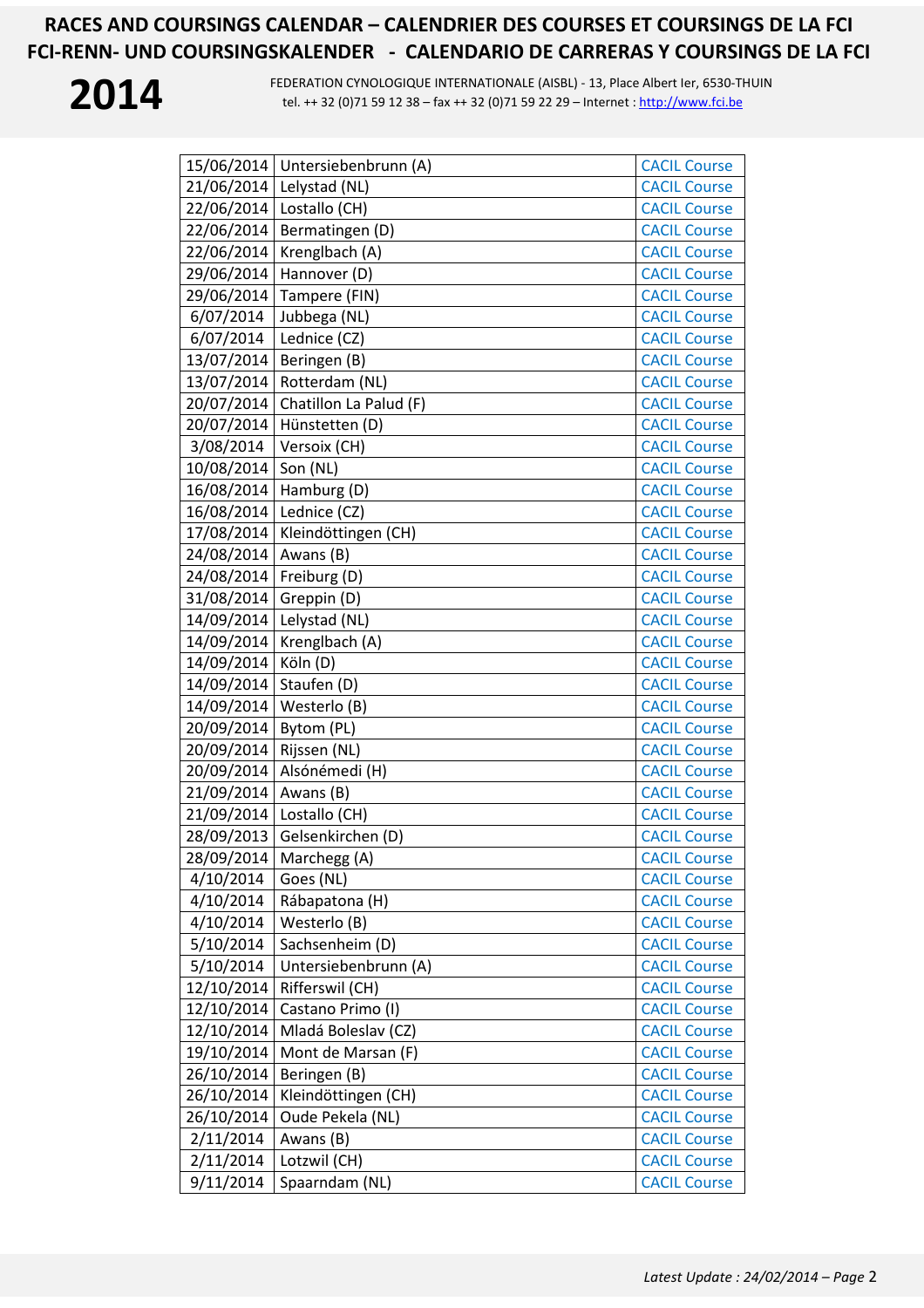

**2014** FEDERATION CYNOLOGIQUE INTERNATIONALE (AISBL) - 13, Place Albert Ier, 6530-THUIN<br>tel. ++ 32 (0)71 59 12 38 – fax ++ 32 (0)71 59 22 29 – Internet : http://www.fci.be tel. ++ 32 (0)71 59 12 38 - fax ++ 32 (0)71 59 22 29 - Internet : http://www.fci.be

|            | 15/06/2014   Untersiebenbrunn (A) | <b>CACIL Course</b> |
|------------|-----------------------------------|---------------------|
| 21/06/2014 | Lelystad (NL)                     | <b>CACIL Course</b> |
| 22/06/2014 | Lostallo (CH)                     | <b>CACIL Course</b> |
| 22/06/2014 | Bermatingen (D)                   | <b>CACIL Course</b> |
| 22/06/2014 | Krenglbach (A)                    | <b>CACIL Course</b> |
| 29/06/2014 | Hannover (D)                      | <b>CACIL Course</b> |
| 29/06/2014 | Tampere (FIN)                     | <b>CACIL Course</b> |
| 6/07/2014  | Jubbega (NL)                      | <b>CACIL Course</b> |
| 6/07/2014  | Lednice (CZ)                      | <b>CACIL Course</b> |
| 13/07/2014 | Beringen (B)                      | <b>CACIL Course</b> |
| 13/07/2014 | Rotterdam (NL)                    | <b>CACIL Course</b> |
| 20/07/2014 | Chatillon La Palud (F)            | <b>CACIL Course</b> |
| 20/07/2014 | Hünstetten (D)                    | <b>CACIL Course</b> |
| 3/08/2014  | Versoix (CH)                      | <b>CACIL Course</b> |
| 10/08/2014 | Son (NL)                          | <b>CACIL Course</b> |
| 16/08/2014 | Hamburg (D)                       | <b>CACIL Course</b> |
| 16/08/2014 | Lednice (CZ)                      | <b>CACIL Course</b> |
| 17/08/2014 | Kleindöttingen (CH)               | <b>CACIL Course</b> |
| 24/08/2014 | Awans (B)                         | <b>CACIL Course</b> |
| 24/08/2014 | Freiburg (D)                      | <b>CACIL Course</b> |
| 31/08/2014 | Greppin (D)                       | <b>CACIL Course</b> |
| 14/09/2014 | Lelystad (NL)                     | <b>CACIL Course</b> |
| 14/09/2014 | Krenglbach (A)                    | <b>CACIL Course</b> |
| 14/09/2014 | Köln (D)                          | <b>CACIL Course</b> |
| 14/09/2014 | Staufen (D)                       | <b>CACIL Course</b> |
| 14/09/2014 | Westerlo (B)                      | <b>CACIL Course</b> |
| 20/09/2014 | Bytom (PL)                        | <b>CACIL Course</b> |
| 20/09/2014 | Rijssen (NL)                      | <b>CACIL Course</b> |
| 20/09/2014 | Alsónémedi (H)                    | <b>CACIL Course</b> |
| 21/09/2014 | Awans (B)                         | <b>CACIL Course</b> |
| 21/09/2014 | Lostallo (CH)                     | <b>CACIL Course</b> |
| 28/09/2013 | Gelsenkirchen (D)                 | <b>CACIL Course</b> |
| 28/09/2014 | Marchegg (A)                      | <b>CACIL Course</b> |
| 4/10/2014  | Goes (NL)                         | <b>CACIL Course</b> |
| 4/10/2014  | Rábapatona (H)                    | <b>CACIL Course</b> |
| 4/10/2014  | Westerlo (B)                      | <b>CACIL Course</b> |
| 5/10/2014  | Sachsenheim (D)                   | <b>CACIL Course</b> |
| 5/10/2014  | Untersiebenbrunn (A)              | <b>CACIL Course</b> |
| 12/10/2014 | Rifferswil (CH)                   | <b>CACIL Course</b> |
| 12/10/2014 | Castano Primo (I)                 | <b>CACIL Course</b> |
| 12/10/2014 | Mladá Boleslav (CZ)               | <b>CACIL Course</b> |
| 19/10/2014 | Mont de Marsan (F)                | <b>CACIL Course</b> |
| 26/10/2014 | Beringen (B)                      | <b>CACIL Course</b> |
| 26/10/2014 | Kleindöttingen (CH)               | <b>CACIL Course</b> |
| 26/10/2014 | Oude Pekela (NL)                  | <b>CACIL Course</b> |
| 2/11/2014  | Awans (B)                         | <b>CACIL Course</b> |
| 2/11/2014  | Lotzwil (CH)                      | <b>CACIL Course</b> |
| 9/11/2014  | Spaarndam (NL)                    | <b>CACIL Course</b> |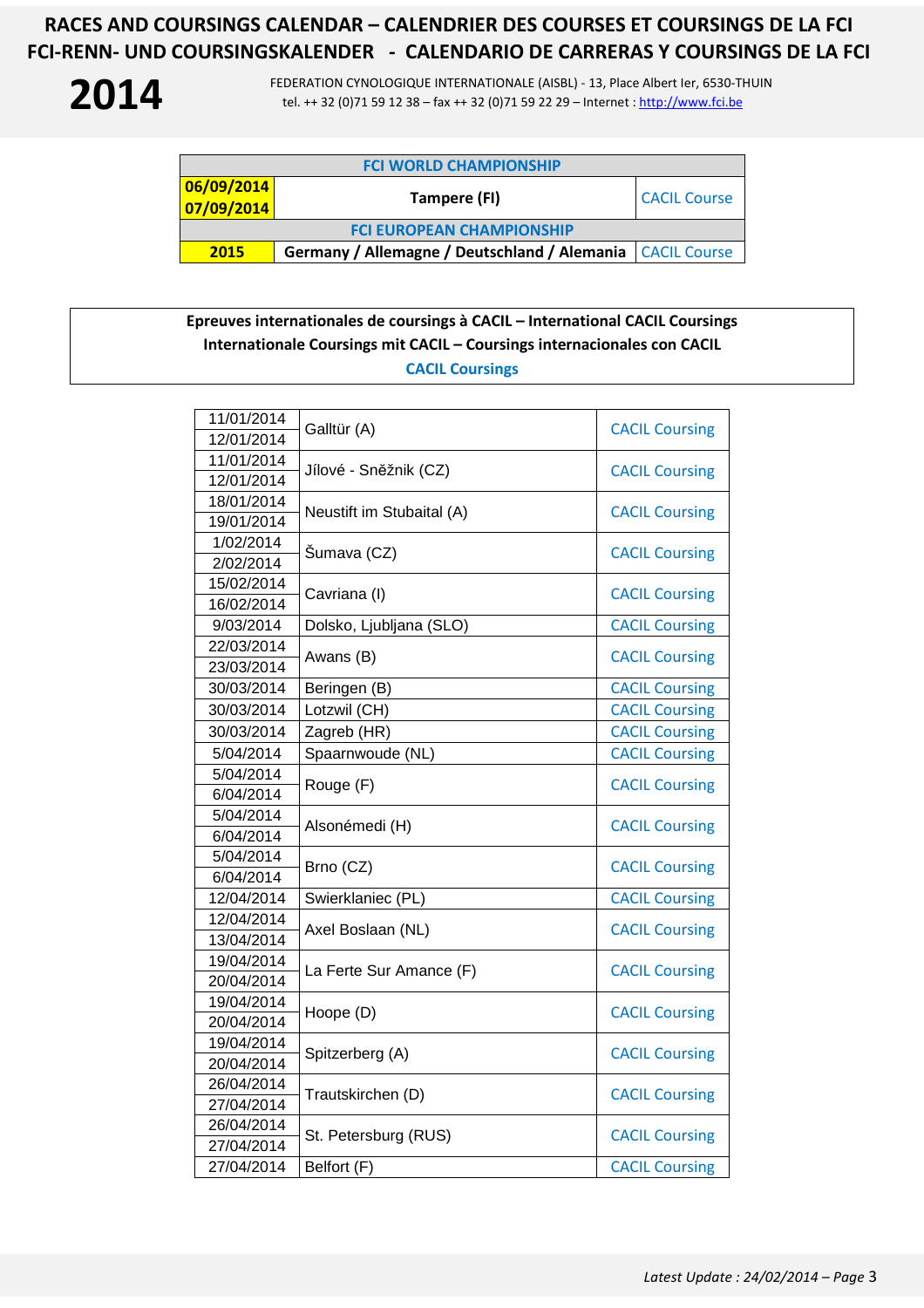**2014** FEDERATION CYNOLOGIQUE INTERNATIONALE (AISBL) - 13, Place Albert Ier, 6530-THUIN<br>tel. ++ 32 (0)71 59 12 38 – fax ++ 32 (0)71 59 22 29 – Internet : http://www.fci.be tel. ++ 32 (0)71 59 12 38 – fax ++ 32 (0)71 59 22 29 – Internet : http://www.fci.be

| <b>FCI WORLD CHAMPIONSHIP</b>    |                                                             |                     |  |
|----------------------------------|-------------------------------------------------------------|---------------------|--|
| 06/09/2014<br>07/09/2014         | Tampere (FI)                                                | <b>CACIL Course</b> |  |
| <b>FCI EUROPEAN CHAMPIONSHIP</b> |                                                             |                     |  |
| 2015                             | Germany / Allemagne / Deutschland / Alemania   CACIL Course |                     |  |

**Epreuves internationales de coursings à CACIL – International CACIL Coursings Internationale Coursings mit CACIL – Coursings internacionales con CACIL CACIL Coursings** 

| 11/01/2014 | Galltür (A)               | <b>CACIL Coursing</b> |
|------------|---------------------------|-----------------------|
| 12/01/2014 |                           |                       |
| 11/01/2014 | Jílové - Sněžnik (CZ)     | <b>CACIL Coursing</b> |
| 12/01/2014 |                           |                       |
| 18/01/2014 | Neustift im Stubaital (A) | <b>CACIL Coursing</b> |
| 19/01/2014 |                           |                       |
| 1/02/2014  | Šumava (CZ)               | <b>CACIL Coursing</b> |
| 2/02/2014  |                           |                       |
| 15/02/2014 | Cavriana (I)              | <b>CACIL Coursing</b> |
| 16/02/2014 |                           |                       |
| 9/03/2014  | Dolsko, Ljubljana (SLO)   | <b>CACIL Coursing</b> |
| 22/03/2014 | Awans (B)                 | <b>CACIL Coursing</b> |
| 23/03/2014 |                           |                       |
| 30/03/2014 | Beringen (B)              | <b>CACIL Coursing</b> |
| 30/03/2014 | Lotzwil (CH)              | <b>CACIL Coursing</b> |
| 30/03/2014 | Zagreb (HR)               | <b>CACIL Coursing</b> |
| 5/04/2014  | Spaarnwoude (NL)          | <b>CACIL Coursing</b> |
| 5/04/2014  | Rouge (F)                 | <b>CACIL Coursing</b> |
| 6/04/2014  |                           |                       |
| 5/04/2014  | Alsonémedi (H)            | <b>CACIL Coursing</b> |
| 6/04/2014  |                           |                       |
| 5/04/2014  | Brno (CZ)                 | <b>CACIL Coursing</b> |
| 6/04/2014  |                           |                       |
| 12/04/2014 | Swierklaniec (PL)         | <b>CACIL Coursing</b> |
| 12/04/2014 | Axel Boslaan (NL)         | <b>CACIL Coursing</b> |
| 13/04/2014 |                           |                       |
| 19/04/2014 | La Ferte Sur Amance (F)   | <b>CACIL Coursing</b> |
| 20/04/2014 |                           |                       |
| 19/04/2014 | Hoope (D)                 | <b>CACIL Coursing</b> |
| 20/04/2014 |                           |                       |
| 19/04/2014 | Spitzerberg (A)           | <b>CACIL Coursing</b> |
| 20/04/2014 |                           |                       |
| 26/04/2014 | Trautskirchen (D)         | <b>CACIL Coursing</b> |
| 27/04/2014 |                           |                       |
| 26/04/2014 | St. Petersburg (RUS)      | <b>CACIL Coursing</b> |
| 27/04/2014 |                           |                       |
| 27/04/2014 | Belfort (F)               | <b>CACIL Coursing</b> |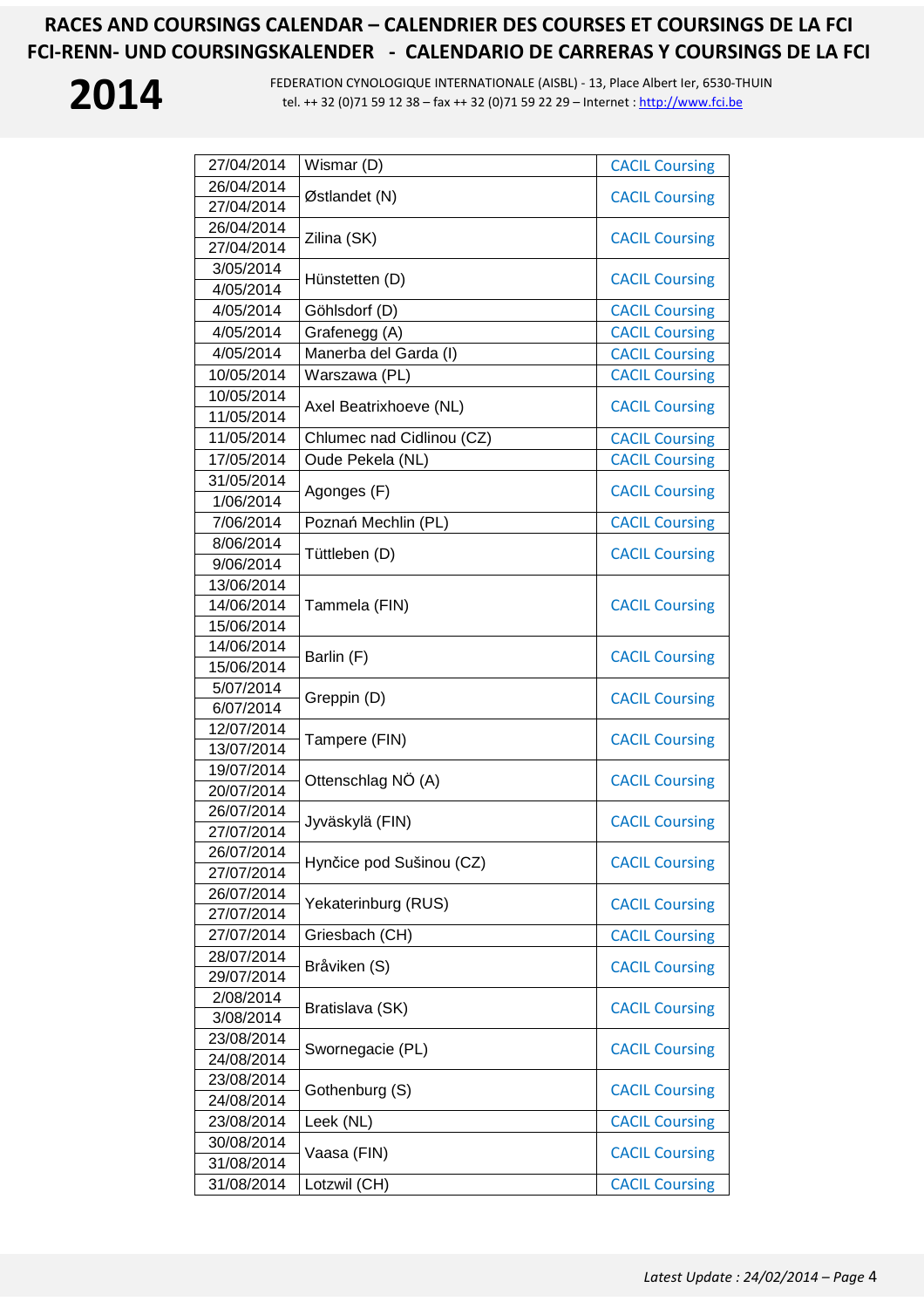

**2014** FEDERATION CYNOLOGIQUE INTERNATIONALE (AISBL) - 13, Place Albert Ier, 6530-THUIN<br>tel. ++ 32 (0)71 59 12 38 – fax ++ 32 (0)71 59 22 29 – Internet : http://www.fci.be tel. ++ 32 (0)71 59 12 38 – fax ++ 32 (0)71 59 22 29 – Internet : http://www.fci.be

| 27/04/2014             | Wismar (D)                | <b>CACIL Coursing</b>                          |
|------------------------|---------------------------|------------------------------------------------|
| 26/04/2014             |                           |                                                |
| 27/04/2014             | Østlandet (N)             | <b>CACIL Coursing</b>                          |
| 26/04/2014             |                           | <b>CACIL Coursing</b>                          |
| 27/04/2014             | Zilina (SK)               |                                                |
| 3/05/2014              |                           |                                                |
| 4/05/2014              | Hünstetten (D)            | <b>CACIL Coursing</b>                          |
| 4/05/2014              | Göhlsdorf (D)             | <b>CACIL Coursing</b>                          |
| 4/05/2014              | Grafenegg (A)             | <b>CACIL Coursing</b>                          |
| 4/05/2014              | Manerba del Garda (I)     | <b>CACIL Coursing</b>                          |
| 10/05/2014             | Warszawa (PL)             | <b>CACIL Coursing</b>                          |
| 10/05/2014             |                           | <b>CACIL Coursing</b>                          |
| 11/05/2014             | Axel Beatrixhoeve (NL)    |                                                |
| 11/05/2014             | Chlumec nad Cidlinou (CZ) | <b>CACIL Coursing</b>                          |
| 17/05/2014             | Oude Pekela (NL)          | <b>CACIL Coursing</b>                          |
| 31/05/2014             |                           |                                                |
| 1/06/2014              | Agonges (F)               | <b>CACIL Coursing</b>                          |
| 7/06/2014              | Poznań Mechlin (PL)       | <b>CACIL Coursing</b>                          |
| 8/06/2014              |                           |                                                |
| 9/06/2014              | Tüttleben (D)             | <b>CACIL Coursing</b>                          |
| 13/06/2014             |                           |                                                |
| 14/06/2014             | Tammela (FIN)             | <b>CACIL Coursing</b>                          |
| 15/06/2014             |                           |                                                |
| 14/06/2014             | Barlin (F)                | <b>CACIL Coursing</b>                          |
| 15/06/2014             |                           |                                                |
| 5/07/2014              | Greppin (D)               | <b>CACIL Coursing</b><br><b>CACIL Coursing</b> |
| 6/07/2014              |                           |                                                |
| 12/07/2014             | Tampere (FIN)             |                                                |
| 13/07/2014             |                           |                                                |
| 19/07/2014             | Ottenschlag NÖ (A)        | <b>CACIL Coursing</b>                          |
| 20/07/2014             |                           |                                                |
| 26/07/2014             | Jyväskylä (FIN)           | <b>CACIL Coursing</b>                          |
| 27/07/2014             |                           |                                                |
| 26/07/2014             | Hynčice pod Sušinou (CZ)  | <b>CACIL Coursing</b>                          |
| 27/07/2014             |                           |                                                |
| 26/07/2014             | Yekaterinburg (RUS)       | <b>CACIL Coursing</b>                          |
| 27/07/2014             |                           |                                                |
| 27/07/2014             | Griesbach (CH)            | <b>CACIL Coursing</b>                          |
| 28/07/2014             | Bråviken (S)              | <b>CACIL Coursing</b>                          |
| 29/07/2014             |                           |                                                |
| 2/08/2014<br>3/08/2014 | Bratislava (SK)           | <b>CACIL Coursing</b>                          |
| 23/08/2014             |                           |                                                |
| 24/08/2014             | Swornegacie (PL)          | <b>CACIL Coursing</b>                          |
| 23/08/2014             |                           |                                                |
| 24/08/2014             | Gothenburg (S)            | <b>CACIL Coursing</b>                          |
| 23/08/2014             | Leek (NL)                 | <b>CACIL Coursing</b>                          |
| 30/08/2014             |                           |                                                |
| 31/08/2014             | Vaasa (FIN)               | <b>CACIL Coursing</b>                          |
| 31/08/2014             | Lotzwil (CH)              | <b>CACIL Coursing</b>                          |
|                        |                           |                                                |